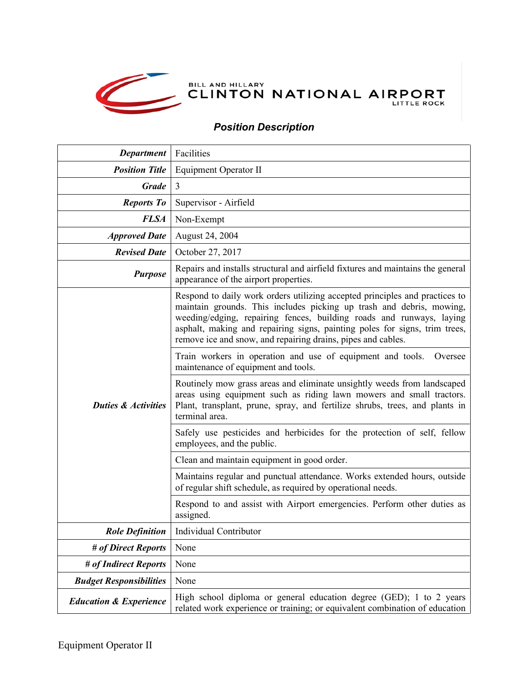

## BILL AND HILLARY NATIONAL AIRPORT

## *Position Description*

| <b>Department</b>                 | Facilities                                                                                                                                                                                                                                                                                                                                                                |
|-----------------------------------|---------------------------------------------------------------------------------------------------------------------------------------------------------------------------------------------------------------------------------------------------------------------------------------------------------------------------------------------------------------------------|
| <b>Position Title</b>             | Equipment Operator II                                                                                                                                                                                                                                                                                                                                                     |
| <b>Grade</b>                      | 3                                                                                                                                                                                                                                                                                                                                                                         |
| <b>Reports To</b>                 | Supervisor - Airfield                                                                                                                                                                                                                                                                                                                                                     |
| <b>FLSA</b>                       | Non-Exempt                                                                                                                                                                                                                                                                                                                                                                |
| <b>Approved Date</b>              | August 24, 2004                                                                                                                                                                                                                                                                                                                                                           |
| <b>Revised Date</b>               | October 27, 2017                                                                                                                                                                                                                                                                                                                                                          |
| <b>Purpose</b>                    | Repairs and installs structural and airfield fixtures and maintains the general<br>appearance of the airport properties.                                                                                                                                                                                                                                                  |
| <b>Duties &amp; Activities</b>    | Respond to daily work orders utilizing accepted principles and practices to<br>maintain grounds. This includes picking up trash and debris, mowing,<br>weeding/edging, repairing fences, building roads and runways, laying<br>asphalt, making and repairing signs, painting poles for signs, trim trees,<br>remove ice and snow, and repairing drains, pipes and cables. |
|                                   | Train workers in operation and use of equipment and tools.<br>Oversee<br>maintenance of equipment and tools.                                                                                                                                                                                                                                                              |
|                                   | Routinely mow grass areas and eliminate unsightly weeds from landscaped<br>areas using equipment such as riding lawn mowers and small tractors.<br>Plant, transplant, prune, spray, and fertilize shrubs, trees, and plants in<br>terminal area.                                                                                                                          |
|                                   | Safely use pesticides and herbicides for the protection of self, fellow<br>employees, and the public.                                                                                                                                                                                                                                                                     |
|                                   | Clean and maintain equipment in good order.                                                                                                                                                                                                                                                                                                                               |
|                                   | Maintains regular and punctual attendance. Works extended hours, outside<br>of regular shift schedule, as required by operational needs.                                                                                                                                                                                                                                  |
|                                   | Respond to and assist with Airport emergencies. Perform other duties as<br>assigned.                                                                                                                                                                                                                                                                                      |
|                                   | <b>Role Definition</b>   Individual Contributor                                                                                                                                                                                                                                                                                                                           |
| # of Direct Reports               | None                                                                                                                                                                                                                                                                                                                                                                      |
| # of Indirect Reports             | None                                                                                                                                                                                                                                                                                                                                                                      |
| <b>Budget Responsibilities</b>    | None                                                                                                                                                                                                                                                                                                                                                                      |
| <b>Education &amp; Experience</b> | High school diploma or general education degree (GED); 1 to 2 years<br>related work experience or training; or equivalent combination of education                                                                                                                                                                                                                        |